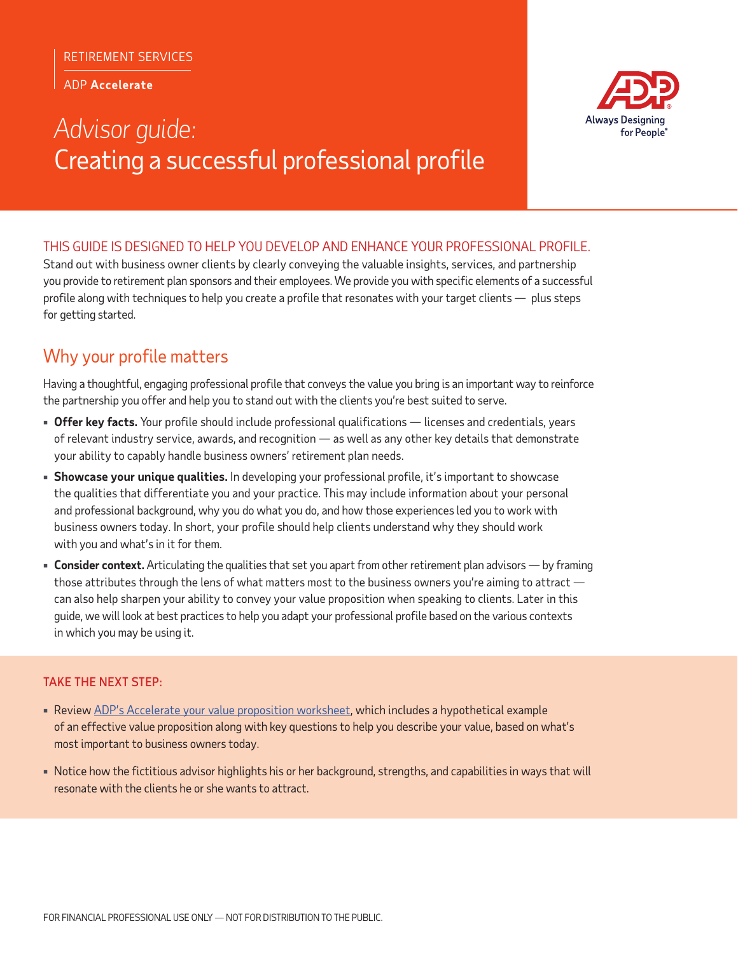#### RETIREMENT SERVICES

ADP **Accelerate**

# *Advisor guide:* Creating a successful professional profile



### THIS GUIDE IS DESIGNED TO HELP YOU DEVELOP AND ENHANCE YOUR PROFESSIONAL PROFILE.

Stand out with business owner clients by clearly conveying the valuable insights, services, and partnership you provide to retirement plan sponsors and their employees. We provide you with specific elements of a successful profile along with techniques to help you create a profile that resonates with your target clients — plus steps for getting started.

# Why your profile matters

Having a thoughtful, engaging professional profile that conveys the value you bring is an important way to reinforce the partnership you offer and help you to stand out with the clients you're best suited to serve.

- **Offer key facts.** Your profile should include professional qualifications licenses and credentials, years of relevant industry service, awards, and recognition — as well as any other key details that demonstrate your ability to capably handle business owners' retirement plan needs.
- **Showcase your unique qualities.** In developing your professional profile, it's important to showcase the qualities that differentiate you and your practice. This may include information about your personal and professional background, why you do what you do, and how those experiences led you to work with business owners today. In short, your profile should help clients understand why they should work with you and what's in it for them.
- **Consider context.** Articulating the qualities that set you apart from other retirement plan advisors by framing those attributes through the lens of what matters most to the business owners you're aiming to attract can also help sharpen your ability to convey your value proposition when speaking to clients. Later in this guide, we will look at best practices to help you adapt your professional profile based on the various contexts in which you may be using it.

### TAKE THE NEXT STEP:

- Review ADP's Accelerate your value proposition worksheet, which includes a hypothetical example of an effective value proposition along with key questions to help you describe your value, based on what's most important to business owners today.
- Notice how the fictitious advisor highlights his or her background, strengths, and capabilities in ways that will resonate with the clients he or she wants to attract.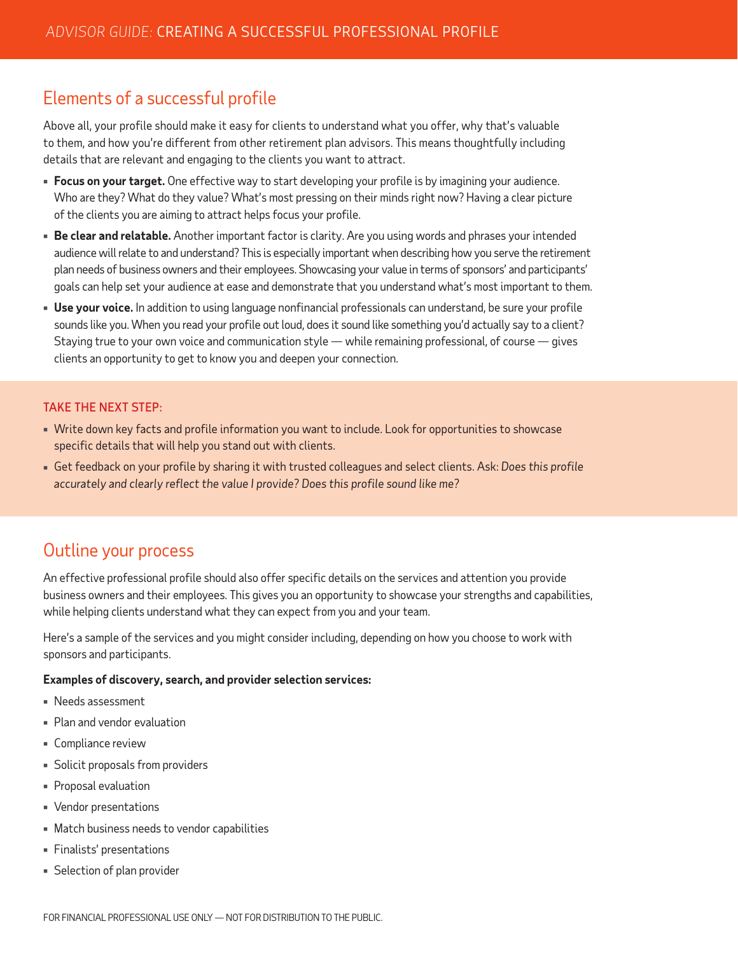# Elements of a successful profile

Above all, your profile should make it easy for clients to understand what you offer, why that's valuable to them, and how you're different from other retirement plan advisors. This means thoughtfully including details that are relevant and engaging to the clients you want to attract.

- **Focus on your target.** One effective way to start developing your profile is by imagining your audience. Who are they? What do they value? What's most pressing on their minds right now? Having a clear picture of the clients you are aiming to attract helps focus your profile.
- **Be clear and relatable.** Another important factor is clarity. Are you using words and phrases your intended audience will relate to and understand? This is especially important when describing how you serve the retirement plan needs of business owners and their employees. Showcasing your value in terms of sponsors' and participants' goals can help set your audience at ease and demonstrate that you understand what's most important to them.
- **Use your voice.** In addition to using language nonfinancial professionals can understand, be sure your profile sounds like you. When you read your profile out loud, does it sound like something you'd actually say to a client? Staying true to your own voice and communication style — while remaining professional, of course — gives clients an opportunity to get to know you and deepen your connection.

### TAKE THE NEXT STEP:

- Write down key facts and profile information you want to include. Look for opportunities to showcase specific details that will help you stand out with clients.
- Get feedback on your profile by sharing it with trusted colleagues and select clients. Ask: *Does this profile accurately and clearly reflect the value I provide? Does this profile sound like me?*

## Outline your process

An effective professional profile should also offer specific details on the services and attention you provide business owners and their employees. This gives you an opportunity to showcase your strengths and capabilities, while helping clients understand what they can expect from you and your team.

Here's a sample of the services and you might consider including, depending on how you choose to work with sponsors and participants.

#### **Examples of discovery, search, and provider selection services:**

- Needs assessment
- Plan and vendor evaluation
- **Compliance review**
- Solicit proposals from providers
- Proposal evaluation
- Vendor presentations
- Match business needs to vendor capabilities
- Finalists' presentations
- Selection of plan provider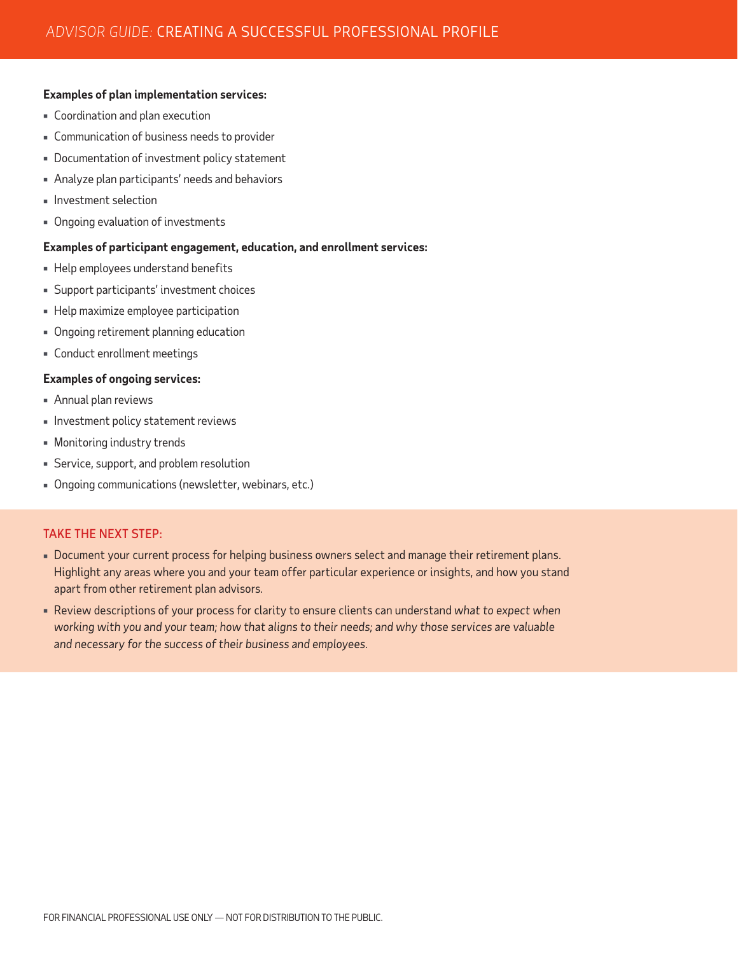#### **Examples of plan implementation services:**

- Coordination and plan execution
- Communication of business needs to provider
- Documentation of investment policy statement
- Analyze plan participants' needs and behaviors
- $\blacksquare$  Investment selection
- Ongoing evaluation of investments

#### **Examples of participant engagement, education, and enrollment services:**

- Help employees understand benefits
- Support participants' investment choices
- **EXPLO MAXALED HEAD** Help maximize employee participation
- Ongoing retirement planning education
- Conduct enrollment meetings

#### **Examples of ongoing services:**

- Annual plan reviews
- **Investment policy statement reviews**
- Monitoring industry trends
- Service, support, and problem resolution
- Ongoing communications (newsletter, webinars, etc.)

#### TAKE THE NEXT STEP:

- Document your current process for helping business owners select and manage their retirement plans. Highlight any areas where you and your team offer particular experience or insights, and how you stand apart from other retirement plan advisors.
- Review descriptions of your process for clarity to ensure clients can understand *what to expect when working with you and your team; how that aligns to their needs; and why those services are valuable and necessary for the success of their business and employees.*